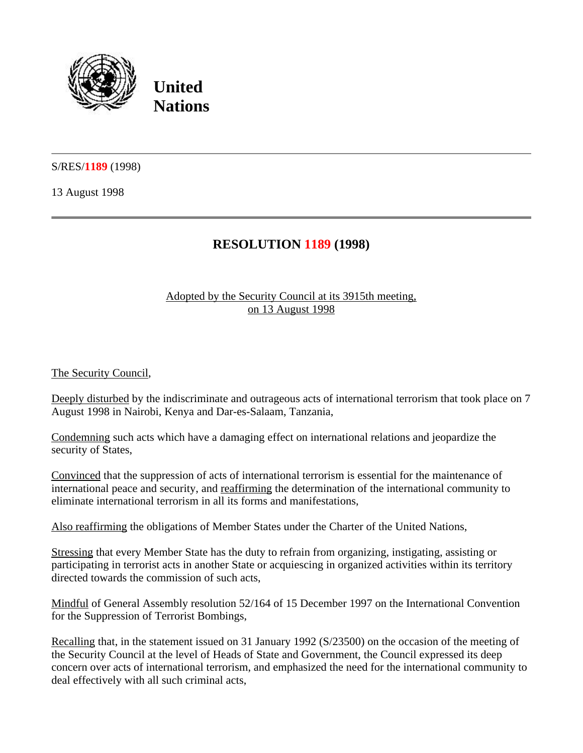

**United Nations**

S/RES/**1189** (1998)

13 August 1998

## **RESOLUTION 1189 (1998)**

## Adopted by the Security Council at its 3915th meeting, on 13 August 1998

The Security Council,

Deeply disturbed by the indiscriminate and outrageous acts of international terrorism that took place on 7 August 1998 in Nairobi, Kenya and Dar-es-Salaam, Tanzania,

Condemning such acts which have a damaging effect on international relations and jeopardize the security of States,

Convinced that the suppression of acts of international terrorism is essential for the maintenance of international peace and security, and reaffirming the determination of the international community to eliminate international terrorism in all its forms and manifestations,

Also reaffirming the obligations of Member States under the Charter of the United Nations,

Stressing that every Member State has the duty to refrain from organizing, instigating, assisting or participating in terrorist acts in another State or acquiescing in organized activities within its territory directed towards the commission of such acts,

Mindful of General Assembly resolution 52/164 of 15 December 1997 on the International Convention for the Suppression of Terrorist Bombings,

Recalling that, in the statement issued on 31 January 1992 (S/23500) on the occasion of the meeting of the Security Council at the level of Heads of State and Government, the Council expressed its deep concern over acts of international terrorism, and emphasized the need for the international community to deal effectively with all such criminal acts,